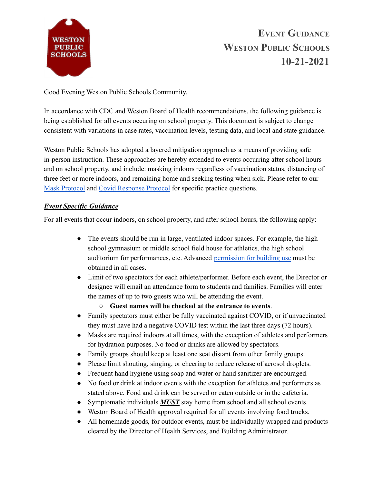

Good Evening Weston Public Schools Community,

In accordance with CDC and Weston Board of Health recommendations, the following guidance is being established for all events occuring on school property. This document is subject to change consistent with variations in case rates, vaccination levels, testing data, and local and state guidance.

Weston Public Schools has adopted a layered mitigation approach as a means of providing safe in-person instruction. These approaches are hereby extended to events occurring after school hours and on school property, and include: masking indoors regardless of vaccination status, distancing of three feet or more indoors, and remaining home and seeking testing when sick. Please refer to our Mask [Protocol](https://drive.google.com/file/d/1XokwGoaQZImdzbTvClE74sbobnKI9Lim/view?usp=sharing) and Covid [Response](https://drive.google.com/file/d/1oMVeru6-8O-0INGnGj9XXtT_GdSzQ-22/view?usp=sharing) Protocol for specific practice questions.

# *Event Specific Guidance*

For all events that occur indoors, on school property, and after school hours, the following apply:

- The events should be run in large, ventilated indoor spaces. For example, the high school gymnasium or middle school field house for athletics, the high school auditorium for performances, etc. Advanced [permission](https://www.westonschools.org/district/administration/finance-operations/community-facility-field-and-pool-use/) for building use must be obtained in all cases.
- Limit of two spectators for each athlete/performer. Before each event, the Director or designee will email an attendance form to students and families. Families will enter the names of up to two guests who will be attending the event.
	- **Guest names will be checked at the entrance to events**.
- Family spectators must either be fully vaccinated against COVID, or if unvaccinated they must have had a negative COVID test within the last three days (72 hours).
- Masks are required indoors at all times, with the exception of athletes and performers for hydration purposes. No food or drinks are allowed by spectators.
- Family groups should keep at least one seat distant from other family groups.
- Please limit shouting, singing, or cheering to reduce release of aerosol droplets.
- Frequent hand hygiene using soap and water or hand sanitizer are encouraged.
- No food or drink at indoor events with the exception for athletes and performers as stated above. Food and drink can be served or eaten outside or in the cafeteria.
- Symptomatic individuals *MUST* stay home from school and all school events.
- Weston Board of Health approval required for all events involving food trucks.
- All homemade goods, for outdoor events, must be individually wrapped and products cleared by the Director of Health Services, and Building Administrator.